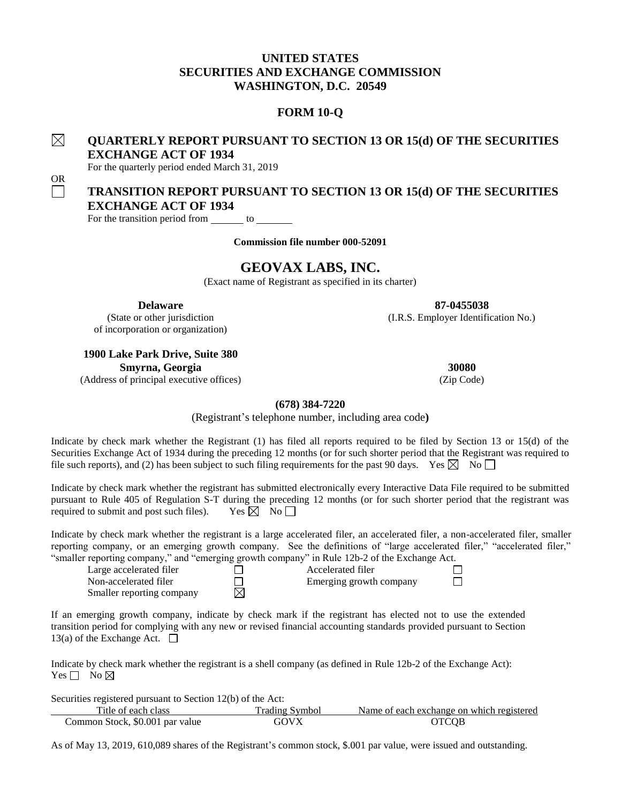## **UNITED STATES SECURITIES AND EXCHANGE COMMISSION WASHINGTON, D.C. 20549**

## **FORM 10-Q**

#### $\boxtimes$ **QUARTERLY REPORT PURSUANT TO SECTION 13 OR 15(d) OF THE SECURITIES EXCHANGE ACT OF 1934**

For the quarterly period ended March 31, 2019

OR

# **TRANSITION REPORT PURSUANT TO SECTION 13 OR 15(d) OF THE SECURITIES EXCHANGE ACT OF 1934**

For the transition period from  $\_\_\_\_$  to  $\_\_\_\_\_$ 

**Commission file number 000-52091**

# **GEOVAX LABS, INC.**

(Exact name of Registrant as specified in its charter)

**Delaware 87-0455038**

(State or other jurisdiction (I.R.S. Employer Identification No.)

of incorporation or organization)

**1900 Lake Park Drive, Suite 380 Smyrna, Georgia 30080**

(Address of principal executive offices) (Zip Code)

#### **(678) 384-7220**

(Registrant's telephone number, including area code**)**

Indicate by check mark whether the Registrant (1) has filed all reports required to be filed by Section 13 or 15(d) of the Securities Exchange Act of 1934 during the preceding 12 months (or for such shorter period that the Registrant was required to file such reports), and (2) has been subject to such filing requirements for the past 90 days. Yes  $\boxtimes$  No  $\Box$ 

Indicate by check mark whether the registrant has submitted electronically every Interactive Data File required to be submitted pursuant to Rule 405 of Regulation S-T during the preceding 12 months (or for such shorter period that the registrant was required to submit and post such files). Yes  $\boxtimes$  No  $\Box$ 

Indicate by check mark whether the registrant is a large accelerated filer, an accelerated filer, a non-accelerated filer, smaller reporting company, or an emerging growth company. See the definitions of "large accelerated filer," "accelerated filer," "smaller reporting company," and "emerging growth company" in Rule 12b-2 of the Exchange Act.

| Large accelerated filer   | Accelerated filer       |  |
|---------------------------|-------------------------|--|
| Non-accelerated filer     | Emerging growth company |  |
| Smaller reporting company |                         |  |

If an emerging growth company, indicate by check mark if the registrant has elected not to use the extended transition period for complying with any new or revised financial accounting standards provided pursuant to Section 13(a) of the Exchange Act.  $\Box$ 

Indicate by check mark whether the registrant is a shell company (as defined in Rule 12b-2 of the Exchange Act): Yes  $\Box$  No  $\boxtimes$ 

Securities registered pursuant to Section 12(b) of the Act: Title of each class Trading Symbol Name of each exchange on which registered Common Stock, \$0.001 par value GOVX OTCQB

As of May 13, 2019, 610,089 shares of the Registrant's common stock, \$.001 par value, were issued and outstanding.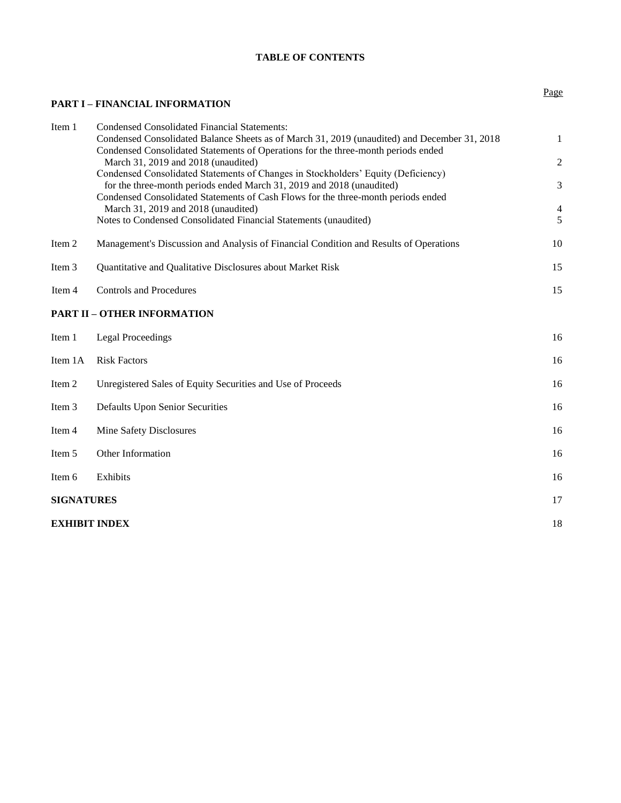## **TABLE OF CONTENTS**

## **PART I – FINANCIAL INFORMATION**

| Item 1            | <b>Condensed Consolidated Financial Statements:</b>                                                                                                        |                          |
|-------------------|------------------------------------------------------------------------------------------------------------------------------------------------------------|--------------------------|
|                   | Condensed Consolidated Balance Sheets as of March 31, 2019 (unaudited) and December 31, 2018                                                               | $\mathbf{1}$             |
|                   | Condensed Consolidated Statements of Operations for the three-month periods ended                                                                          |                          |
|                   | March 31, 2019 and 2018 (unaudited)                                                                                                                        | $\overline{c}$           |
|                   | Condensed Consolidated Statements of Changes in Stockholders' Equity (Deficiency)<br>for the three-month periods ended March 31, 2019 and 2018 (unaudited) | 3                        |
|                   | Condensed Consolidated Statements of Cash Flows for the three-month periods ended                                                                          |                          |
|                   | March 31, 2019 and 2018 (unaudited)                                                                                                                        | $\overline{\mathcal{L}}$ |
|                   | Notes to Condensed Consolidated Financial Statements (unaudited)                                                                                           | 5                        |
| Item <sub>2</sub> | Management's Discussion and Analysis of Financial Condition and Results of Operations                                                                      | 10                       |
| Item <sub>3</sub> | Quantitative and Qualitative Disclosures about Market Risk                                                                                                 | 15                       |
| Item 4            | <b>Controls and Procedures</b>                                                                                                                             | 15                       |
|                   | <b>PART II – OTHER INFORMATION</b>                                                                                                                         |                          |
| Item 1            | <b>Legal Proceedings</b>                                                                                                                                   | 16                       |
| Item 1A           | <b>Risk Factors</b>                                                                                                                                        | 16                       |
| Item <sub>2</sub> | Unregistered Sales of Equity Securities and Use of Proceeds                                                                                                | 16                       |
| Item 3            | <b>Defaults Upon Senior Securities</b>                                                                                                                     | 16                       |
| Item 4            | Mine Safety Disclosures                                                                                                                                    | 16                       |
| Item 5            | Other Information                                                                                                                                          | 16                       |
| Item 6            | Exhibits                                                                                                                                                   | 16                       |
| <b>SIGNATURES</b> |                                                                                                                                                            | 17                       |
|                   | <b>EXHIBIT INDEX</b>                                                                                                                                       | 18                       |
|                   |                                                                                                                                                            |                          |

Page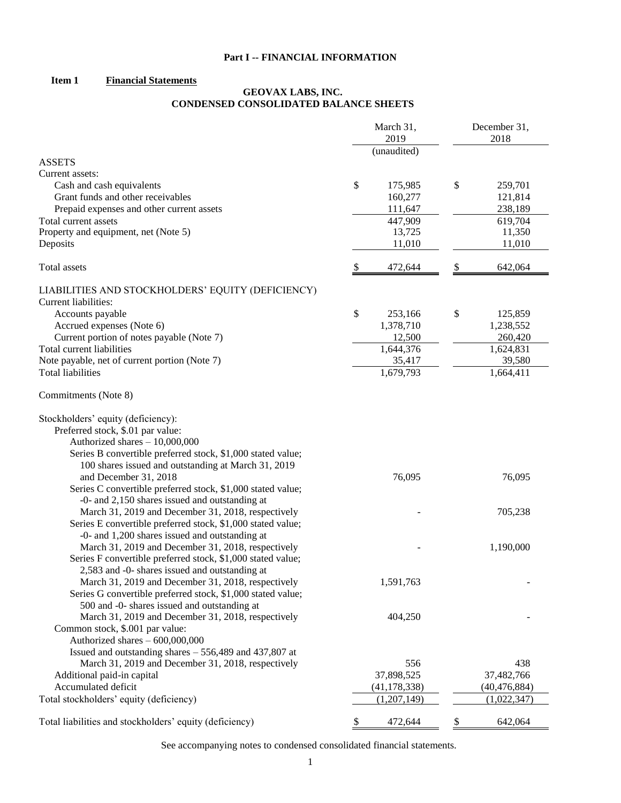## **Part I -- FINANCIAL INFORMATION**

## **Item 1 Financial Statements**

## **GEOVAX LABS, INC. CONDENSED CONSOLIDATED BALANCE SHEETS**

|                                                             |      | March 31,                     | December 31, |                               |  |
|-------------------------------------------------------------|------|-------------------------------|--------------|-------------------------------|--|
|                                                             | 2019 |                               |              | 2018                          |  |
| <b>ASSETS</b>                                               |      | (unaudited)                   |              |                               |  |
| Current assets:                                             |      |                               |              |                               |  |
| Cash and cash equivalents                                   | \$   | 175,985                       | \$           | 259,701                       |  |
| Grant funds and other receivables                           |      | 160,277                       |              | 121,814                       |  |
| Prepaid expenses and other current assets                   |      | 111,647                       |              | 238,189                       |  |
| Total current assets                                        |      | 447,909                       |              | 619,704                       |  |
| Property and equipment, net (Note 5)                        |      | 13,725                        |              | 11,350                        |  |
| Deposits                                                    |      | 11,010                        |              | 11,010                        |  |
|                                                             |      |                               |              |                               |  |
| Total assets                                                | \$   | 472,644                       | \$           | 642,064                       |  |
| LIABILITIES AND STOCKHOLDERS' EQUITY (DEFICIENCY)           |      |                               |              |                               |  |
| Current liabilities:                                        |      |                               |              |                               |  |
| Accounts payable                                            | \$   | 253,166                       | \$           | 125,859                       |  |
| Accrued expenses (Note 6)                                   |      | 1,378,710                     |              | 1,238,552                     |  |
| Current portion of notes payable (Note 7)                   |      | 12,500                        |              | 260,420                       |  |
| Total current liabilities                                   |      | 1,644,376                     |              | 1,624,831                     |  |
| Note payable, net of current portion (Note 7)               |      | 35,417                        |              | 39,580                        |  |
| <b>Total liabilities</b>                                    |      | 1,679,793                     |              | 1,664,411                     |  |
| Commitments (Note 8)                                        |      |                               |              |                               |  |
| Stockholders' equity (deficiency):                          |      |                               |              |                               |  |
| Preferred stock, \$.01 par value:                           |      |                               |              |                               |  |
| Authorized shares - 10,000,000                              |      |                               |              |                               |  |
| Series B convertible preferred stock, \$1,000 stated value; |      |                               |              |                               |  |
| 100 shares issued and outstanding at March 31, 2019         |      |                               |              |                               |  |
| and December 31, 2018                                       |      | 76,095                        |              | 76,095                        |  |
| Series C convertible preferred stock, \$1,000 stated value; |      |                               |              |                               |  |
| -0- and 2,150 shares issued and outstanding at              |      |                               |              |                               |  |
| March 31, 2019 and December 31, 2018, respectively          |      |                               |              | 705,238                       |  |
| Series E convertible preferred stock, \$1,000 stated value; |      |                               |              |                               |  |
| -0- and 1,200 shares issued and outstanding at              |      |                               |              |                               |  |
| March 31, 2019 and December 31, 2018, respectively          |      |                               |              | 1,190,000                     |  |
| Series F convertible preferred stock, \$1,000 stated value; |      |                               |              |                               |  |
| 2,583 and -0- shares issued and outstanding at              |      |                               |              |                               |  |
| March 31, 2019 and December 31, 2018, respectively          |      | 1,591,763                     |              |                               |  |
| Series G convertible preferred stock, \$1,000 stated value; |      |                               |              |                               |  |
| 500 and -0- shares issued and outstanding at                |      |                               |              |                               |  |
| March 31, 2019 and December 31, 2018, respectively          |      | 404,250                       |              |                               |  |
| Common stock, \$.001 par value:                             |      |                               |              |                               |  |
| Authorized shares - 600,000,000                             |      |                               |              |                               |  |
| Issued and outstanding shares - 556,489 and 437,807 at      |      |                               |              |                               |  |
| March 31, 2019 and December 31, 2018, respectively          |      | 556                           |              | 438                           |  |
| Additional paid-in capital<br>Accumulated deficit           |      | 37,898,525                    |              | 37,482,766                    |  |
| Total stockholders' equity (deficiency)                     |      | (41, 178, 338)<br>(1,207,149) |              | (40, 476, 884)<br>(1,022,347) |  |
|                                                             |      |                               |              |                               |  |
| Total liabilities and stockholders' equity (deficiency)     | \$   | 472,644                       | \$           | 642,064                       |  |

See accompanying notes to condensed consolidated financial statements.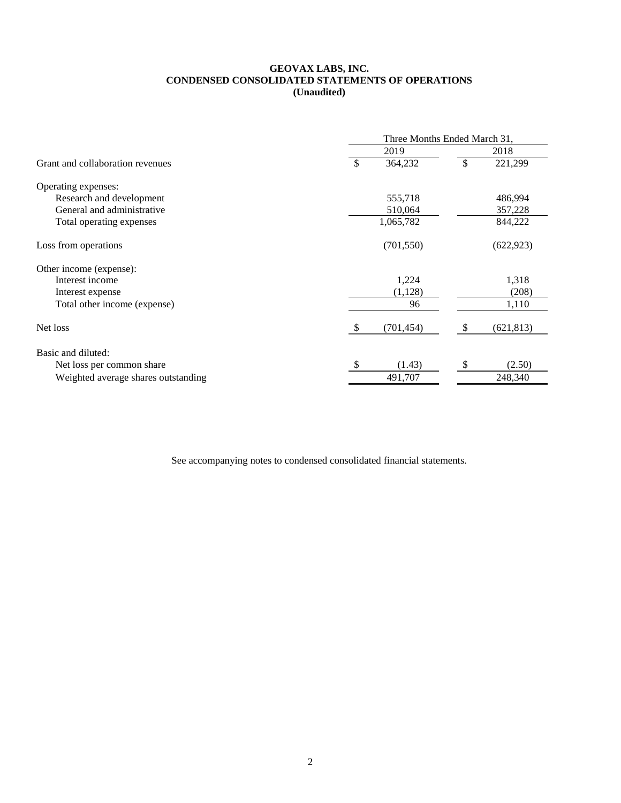#### **GEOVAX LABS, INC. CONDENSED CONSOLIDATED STATEMENTS OF OPERATIONS (Unaudited)**

|                                     | Three Months Ended March 31, |      |            |  |  |
|-------------------------------------|------------------------------|------|------------|--|--|
|                                     | 2019                         | 2018 |            |  |  |
| Grant and collaboration revenues    | 364,232                      | \$   | 221,299    |  |  |
| Operating expenses:                 |                              |      |            |  |  |
| Research and development            | 555,718                      |      | 486,994    |  |  |
| General and administrative          | 510,064                      |      | 357,228    |  |  |
| Total operating expenses            | 1,065,782                    |      | 844,222    |  |  |
| Loss from operations                | (701, 550)                   |      | (622, 923) |  |  |
| Other income (expense):             |                              |      |            |  |  |
| Interest income                     | 1,224                        |      | 1,318      |  |  |
| Interest expense                    | (1,128)                      |      | (208)      |  |  |
| Total other income (expense)        | 96                           |      | 1,110      |  |  |
| Net loss                            | (701, 454)                   | S    | (621, 813) |  |  |
| Basic and diluted:                  |                              |      |            |  |  |
| Net loss per common share           | (1.43)                       | \$   | (2.50)     |  |  |
| Weighted average shares outstanding | 491,707                      |      | 248,340    |  |  |

See accompanying notes to condensed consolidated financial statements.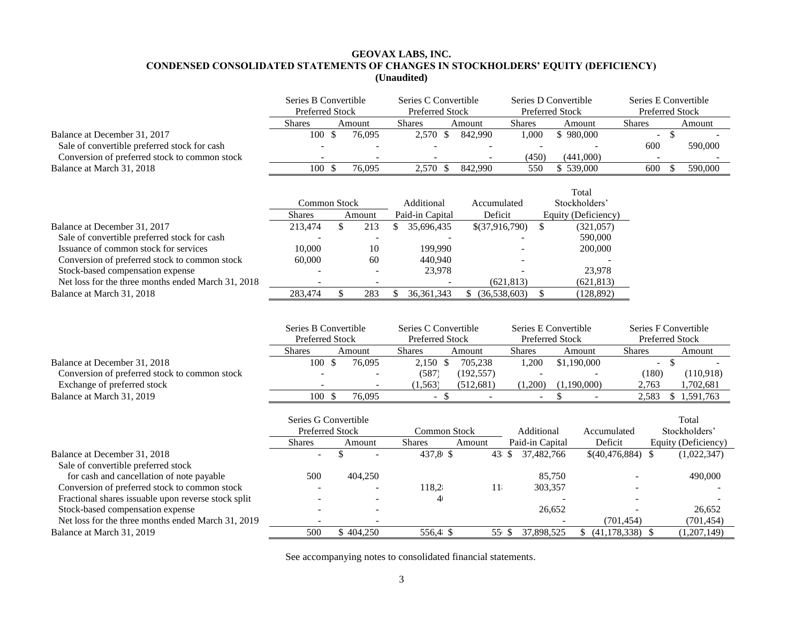## **GEOVAX LABS, INC. CONDENSED CONSOLIDATED STATEMENTS OF CHANGES IN STOCKHOLDERS' EQUITY (DEFICIENCY) (Unaudited)**

|                                                                                                                               | Series B Convertible<br><b>Preferred Stock</b>                  |              | Series C Convertible<br><b>Preferred Stock</b> |                                         | Series D Convertible<br><b>Preferred Stock</b> |                               | Series E Convertible<br><b>Preferred Stock</b> |                                                   |                                               |
|-------------------------------------------------------------------------------------------------------------------------------|-----------------------------------------------------------------|--------------|------------------------------------------------|-----------------------------------------|------------------------------------------------|-------------------------------|------------------------------------------------|---------------------------------------------------|-----------------------------------------------|
|                                                                                                                               | <b>Shares</b>                                                   |              | Amount                                         | <b>Shares</b>                           | Amount                                         | <b>Shares</b>                 | Amount                                         | <b>Shares</b>                                     | Amount                                        |
| Balance at December 31, 2017<br>Sale of convertible preferred stock for cash<br>Conversion of preferred stock to common stock | 100S                                                            |              | 76,095                                         | 2,570<br>$\mathcal{S}$                  | 842,990                                        | 1,000<br>(450)                | \$980,000<br>(441,000)                         | $\overline{\phantom{a}}$<br>600<br>$\blacksquare$ | $\mathcal{S}$<br>590,000                      |
| Balance at March 31, 2018                                                                                                     | 100S                                                            |              | 76,095                                         | 2,570 \$                                | 842,990                                        | 550                           | \$539,000                                      | 600                                               | 590,000<br>-S                                 |
|                                                                                                                               | <b>Common Stock</b>                                             |              |                                                | Additional                              | Accumulated                                    |                               | Total<br>Stockholders'                         |                                                   |                                               |
|                                                                                                                               | <b>Shares</b>                                                   |              | Amount                                         | Paid-in Capital                         | Deficit                                        |                               | Equity (Deficiency)                            |                                                   |                                               |
| Balance at December 31, 2017<br>Sale of convertible preferred stock for cash                                                  | 213,474                                                         | \$           | 213                                            | \$<br>35,696,435                        | \$(37,916,790)                                 | $\mathbb{S}$                  | (321,057)<br>590,000                           |                                                   |                                               |
| Issuance of common stock for services<br>Conversion of preferred stock to common stock                                        | 10.000<br>60,000                                                |              | 10<br>60                                       | 199,990<br>440,940                      |                                                |                               | 200,000                                        |                                                   |                                               |
| Stock-based compensation expense<br>Net loss for the three months ended March 31, 2018                                        |                                                                 |              | $\overline{\phantom{a}}$                       | 23,978                                  |                                                | (621, 813)                    | 23,978<br>(621, 813)                           |                                                   |                                               |
| Balance at March 31, 2018                                                                                                     | 283,474                                                         | $\mathbb{S}$ | 283                                            | 36, 361, 343<br>S                       | $$$ (36,538,603)                               | -S                            | (128, 892)                                     |                                                   |                                               |
|                                                                                                                               | Series B Convertible<br>Preferred Stock                         |              |                                                | Series C Convertible<br>Preferred Stock |                                                |                               | Series E Convertible<br>Preferred Stock        |                                                   | Series F Convertible<br>Preferred Stock       |
|                                                                                                                               | Shares                                                          |              | Amount                                         | <b>Shares</b>                           | Amount                                         | <b>Shares</b>                 | Amount                                         | <b>Shares</b>                                     | Amount                                        |
| Balance at December 31, 2018<br>Conversion of preferred stock to common stock<br>Exchange of preferred stock                  | 100S                                                            |              | 76,095                                         | $2,150$ \$<br>(587)<br>(1, 563)         | 705,238<br>(192, 557)<br>(512, 681)            | 1,200<br>(1,200)              | \$1,190,000<br>(1,190,000)                     | (180)<br>2,763                                    | $-$ \$<br>(110,918)<br>1,702,681              |
| Balance at March 31, 2019                                                                                                     | 100S                                                            |              | 76,095                                         | $-$ \$                                  |                                                |                               | $\mathbb{S}$                                   | 2,583                                             | \$<br>1,591,763                               |
|                                                                                                                               | Series G Convertible<br><b>Preferred Stock</b><br><b>Shares</b> |              | Amount                                         | Common Stock<br><b>Shares</b>           | Amount                                         | Additional<br>Paid-in Capital | Accumulated<br>Deficit                         |                                                   | Total<br>Stockholders'<br>Equity (Deficiency) |
| Balance at December 31, 2018                                                                                                  |                                                                 | \$           |                                                | 437,81 \$                               | 43 $$$                                         | 37,482,766                    |                                                | $$(40,476,884)$ \\$                               | (1,022,347)                                   |
| Sale of convertible preferred stock<br>for cash and cancellation of note payable                                              | 500                                                             |              | 404,250                                        |                                         |                                                |                               | 85,750                                         |                                                   | 490,000                                       |
| Conversion of preferred stock to common stock                                                                                 |                                                                 |              |                                                | 118,2                                   | 11                                             |                               |                                                |                                                   |                                               |
| Fractional shares issuable upon reverse stock split                                                                           |                                                                 |              |                                                | 4 <sub>1</sub>                          |                                                | 303,357                       |                                                |                                                   |                                               |
| Stock-based compensation expense                                                                                              |                                                                 |              |                                                |                                         |                                                |                               | 26,652                                         |                                                   | 26,652                                        |
| Net loss for the three months ended March 31, 2019                                                                            |                                                                 |              |                                                |                                         |                                                |                               |                                                | (701, 454)                                        | (701, 454)                                    |
| Balance at March 31, 2019                                                                                                     | 500                                                             |              | \$404,250                                      | 556,4 \$                                | $55.$ \$                                       | 37,898,525                    | \$<br>(41, 178, 338)                           | -S                                                | (1,207,149)                                   |

See accompanying notes to consolidated financial statements.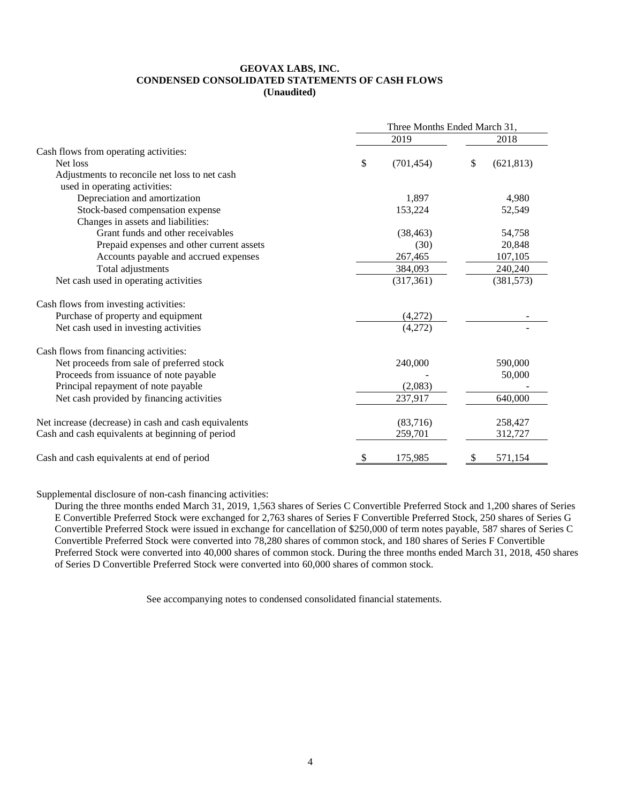#### **GEOVAX LABS, INC. CONDENSED CONSOLIDATED STATEMENTS OF CASH FLOWS (Unaudited)**

|                                                      | Three Months Ended March 31, |            |    |            |  |  |
|------------------------------------------------------|------------------------------|------------|----|------------|--|--|
|                                                      |                              | 2019       |    | 2018       |  |  |
| Cash flows from operating activities:                |                              |            |    |            |  |  |
| Net loss                                             | \$                           | (701, 454) | \$ | (621, 813) |  |  |
| Adjustments to reconcile net loss to net cash        |                              |            |    |            |  |  |
| used in operating activities:                        |                              |            |    |            |  |  |
| Depreciation and amortization                        |                              | 1,897      |    | 4,980      |  |  |
| Stock-based compensation expense                     |                              | 153,224    |    | 52,549     |  |  |
| Changes in assets and liabilities:                   |                              |            |    |            |  |  |
| Grant funds and other receivables                    |                              | (38, 463)  |    | 54,758     |  |  |
| Prepaid expenses and other current assets            |                              | (30)       |    | 20,848     |  |  |
| Accounts payable and accrued expenses                |                              | 267,465    |    | 107,105    |  |  |
| Total adjustments                                    |                              | 384,093    |    | 240,240    |  |  |
| Net cash used in operating activities                |                              | (317, 361) |    | (381, 573) |  |  |
| Cash flows from investing activities:                |                              |            |    |            |  |  |
| Purchase of property and equipment                   |                              | (4,272)    |    |            |  |  |
| Net cash used in investing activities                |                              | (4,272)    |    |            |  |  |
| Cash flows from financing activities:                |                              |            |    |            |  |  |
| Net proceeds from sale of preferred stock            |                              | 240,000    |    | 590,000    |  |  |
| Proceeds from issuance of note payable               |                              |            |    | 50,000     |  |  |
| Principal repayment of note payable                  |                              | (2,083)    |    |            |  |  |
| Net cash provided by financing activities            |                              | 237,917    |    | 640,000    |  |  |
| Net increase (decrease) in cash and cash equivalents |                              | (83,716)   |    | 258,427    |  |  |
| Cash and cash equivalents at beginning of period     |                              | 259,701    |    | 312,727    |  |  |
| Cash and cash equivalents at end of period           | \$                           | 175,985    | P  | 571,154    |  |  |

Supplemental disclosure of non-cash financing activities:

During the three months ended March 31, 2019, 1,563 shares of Series C Convertible Preferred Stock and 1,200 shares of Series E Convertible Preferred Stock were exchanged for 2,763 shares of Series F Convertible Preferred Stock, 250 shares of Series G Convertible Preferred Stock were issued in exchange for cancellation of \$250,000 of term notes payable, 587 shares of Series C Convertible Preferred Stock were converted into 78,280 shares of common stock, and 180 shares of Series F Convertible Preferred Stock were converted into 40,000 shares of common stock. During the three months ended March 31, 2018, 450 shares of Series D Convertible Preferred Stock were converted into 60,000 shares of common stock.

See accompanying notes to condensed consolidated financial statements.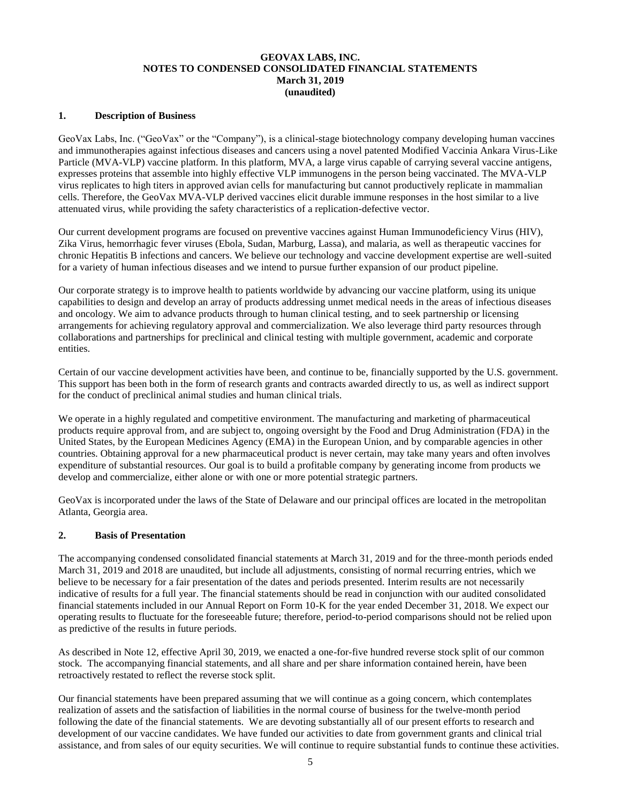## **GEOVAX LABS, INC. NOTES TO CONDENSED CONSOLIDATED FINANCIAL STATEMENTS March 31, 2019 (unaudited)**

#### **1. Description of Business**

GeoVax Labs, Inc. ("GeoVax" or the "Company"), is a clinical-stage biotechnology company developing human vaccines and immunotherapies against infectious diseases and cancers using a novel patented Modified Vaccinia Ankara Virus-Like Particle (MVA-VLP) vaccine platform. In this platform, MVA, a large virus capable of carrying several vaccine antigens, expresses proteins that assemble into highly effective VLP immunogens in the person being vaccinated. The MVA-VLP virus replicates to high titers in approved avian cells for manufacturing but cannot productively replicate in mammalian cells. Therefore, the GeoVax MVA-VLP derived vaccines elicit durable immune responses in the host similar to a live attenuated virus, while providing the safety characteristics of a replication-defective vector.

Our current development programs are focused on preventive vaccines against Human Immunodeficiency Virus (HIV), Zika Virus, hemorrhagic fever viruses (Ebola, Sudan, Marburg, Lassa), and malaria, as well as therapeutic vaccines for chronic Hepatitis B infections and cancers. We believe our technology and vaccine development expertise are well-suited for a variety of human infectious diseases and we intend to pursue further expansion of our product pipeline.

Our corporate strategy is to improve health to patients worldwide by advancing our vaccine platform, using its unique capabilities to design and develop an array of products addressing unmet medical needs in the areas of infectious diseases and oncology. We aim to advance products through to human clinical testing, and to seek partnership or licensing arrangements for achieving regulatory approval and commercialization. We also leverage third party resources through collaborations and partnerships for preclinical and clinical testing with multiple government, academic and corporate entities.

Certain of our vaccine development activities have been, and continue to be, financially supported by the U.S. government. This support has been both in the form of research grants and contracts awarded directly to us, as well as indirect support for the conduct of preclinical animal studies and human clinical trials.

We operate in a highly regulated and competitive environment. The manufacturing and marketing of pharmaceutical products require approval from, and are subject to, ongoing oversight by the Food and Drug Administration (FDA) in the United States, by the European Medicines Agency (EMA) in the European Union, and by comparable agencies in other countries. Obtaining approval for a new pharmaceutical product is never certain, may take many years and often involves expenditure of substantial resources. Our goal is to build a profitable company by generating income from products we develop and commercialize, either alone or with one or more potential strategic partners.

GeoVax is incorporated under the laws of the State of Delaware and our principal offices are located in the metropolitan Atlanta, Georgia area.

## **2. Basis of Presentation**

The accompanying condensed consolidated financial statements at March 31, 2019 and for the three-month periods ended March 31, 2019 and 2018 are unaudited, but include all adjustments, consisting of normal recurring entries, which we believe to be necessary for a fair presentation of the dates and periods presented. Interim results are not necessarily indicative of results for a full year. The financial statements should be read in conjunction with our audited consolidated financial statements included in our Annual Report on Form 10-K for the year ended December 31, 2018. We expect our operating results to fluctuate for the foreseeable future; therefore, period-to-period comparisons should not be relied upon as predictive of the results in future periods.

As described in Note 12, effective April 30, 2019, we enacted a one-for-five hundred reverse stock split of our common stock. The accompanying financial statements, and all share and per share information contained herein, have been retroactively restated to reflect the reverse stock split.

Our financial statements have been prepared assuming that we will continue as a going concern, which contemplates realization of assets and the satisfaction of liabilities in the normal course of business for the twelve-month period following the date of the financial statements. We are devoting substantially all of our present efforts to research and development of our vaccine candidates. We have funded our activities to date from government grants and clinical trial assistance, and from sales of our equity securities. We will continue to require substantial funds to continue these activities.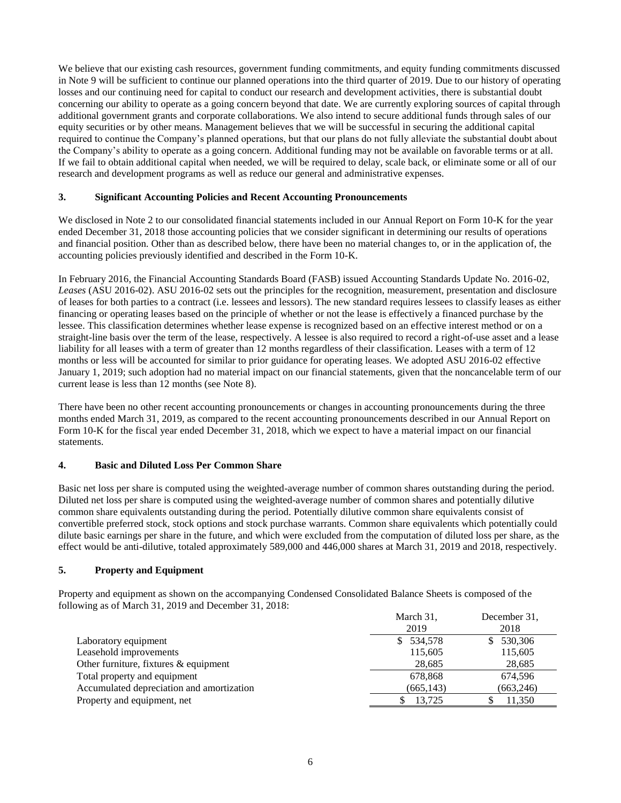We believe that our existing cash resources, government funding commitments, and equity funding commitments discussed in Note 9 will be sufficient to continue our planned operations into the third quarter of 2019. Due to our history of operating losses and our continuing need for capital to conduct our research and development activities, there is substantial doubt concerning our ability to operate as a going concern beyond that date. We are currently exploring sources of capital through additional government grants and corporate collaborations. We also intend to secure additional funds through sales of our equity securities or by other means. Management believes that we will be successful in securing the additional capital required to continue the Company's planned operations, but that our plans do not fully alleviate the substantial doubt about the Company's ability to operate as a going concern. Additional funding may not be available on favorable terms or at all. If we fail to obtain additional capital when needed, we will be required to delay, scale back, or eliminate some or all of our research and development programs as well as reduce our general and administrative expenses.

## **3. Significant Accounting Policies and Recent Accounting Pronouncements**

We disclosed in Note 2 to our consolidated financial statements included in our Annual Report on Form 10-K for the year ended December 31, 2018 those accounting policies that we consider significant in determining our results of operations and financial position. Other than as described below, there have been no material changes to, or in the application of, the accounting policies previously identified and described in the Form 10-K.

In February 2016, the Financial Accounting Standards Board (FASB) issued Accounting Standards Update No. 2016-02, *Leases* (ASU 2016-02). ASU 2016-02 sets out the principles for the recognition, measurement, presentation and disclosure of leases for both parties to a contract (i.e. lessees and lessors). The new standard requires lessees to classify leases as either financing or operating leases based on the principle of whether or not the lease is effectively a financed purchase by the lessee. This classification determines whether lease expense is recognized based on an effective interest method or on a straight-line basis over the term of the lease, respectively. A lessee is also required to record a right-of-use asset and a lease liability for all leases with a term of greater than 12 months regardless of their classification. Leases with a term of 12 months or less will be accounted for similar to prior guidance for operating leases. We adopted ASU 2016-02 effective January 1, 2019; such adoption had no material impact on our financial statements, given that the noncancelable term of our current lease is less than 12 months (see Note 8).

There have been no other recent accounting pronouncements or changes in accounting pronouncements during the three months ended March 31, 2019, as compared to the recent accounting pronouncements described in our Annual Report on Form 10-K for the fiscal year ended December 31, 2018, which we expect to have a material impact on our financial statements.

## **4. Basic and Diluted Loss Per Common Share**

Basic net loss per share is computed using the weighted-average number of common shares outstanding during the period. Diluted net loss per share is computed using the weighted-average number of common shares and potentially dilutive common share equivalents outstanding during the period. Potentially dilutive common share equivalents consist of convertible preferred stock, stock options and stock purchase warrants. Common share equivalents which potentially could dilute basic earnings per share in the future, and which were excluded from the computation of diluted loss per share, as the effect would be anti-dilutive, totaled approximately 589,000 and 446,000 shares at March 31, 2019 and 2018, respectively.

#### **5. Property and Equipment**

Property and equipment as shown on the accompanying Condensed Consolidated Balance Sheets is composed of the following as of March 31, 2019 and December 31, 2018:

|                                           | March 31,  | December 31. |
|-------------------------------------------|------------|--------------|
|                                           | 2019       | 2018         |
| Laboratory equipment                      | 534,578    | 530,306      |
| Leasehold improvements                    | 115,605    | 115,605      |
| Other furniture, fixtures & equipment     | 28,685     | 28,685       |
| Total property and equipment              | 678,868    | 674,596      |
| Accumulated depreciation and amortization | (665, 143) | (663, 246)   |
| Property and equipment, net               | 13.725     | 11,350       |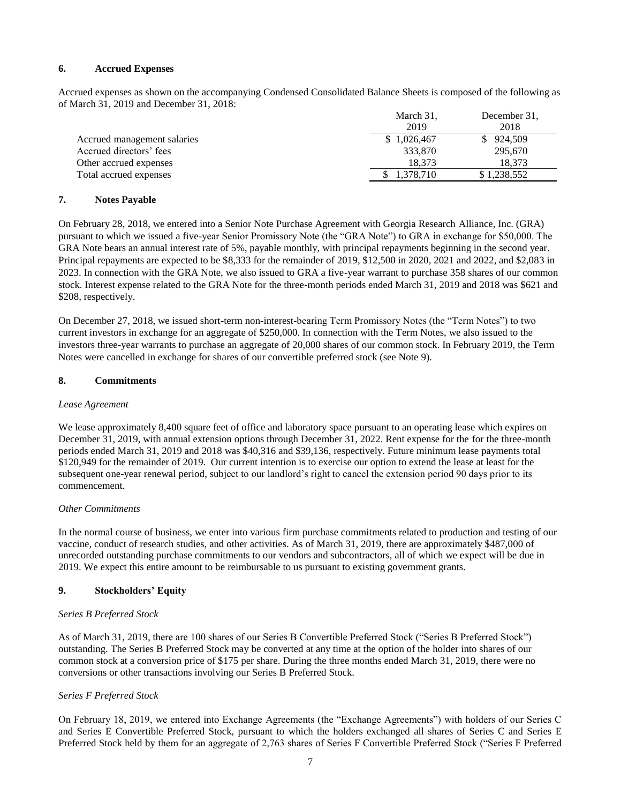### **6. Accrued Expenses**

Accrued expenses as shown on the accompanying Condensed Consolidated Balance Sheets is composed of the following as of March 31, 2019 and December 31, 2018:

|                             | March 31,   | December 31. |
|-----------------------------|-------------|--------------|
|                             | 2019        | 2018         |
| Accrued management salaries | \$1,026,467 | \$924.509    |
| Accrued directors' fees     | 333,870     | 295,670      |
| Other accrued expenses      | 18.373      | 18.373       |
| Total accrued expenses      | .378.710    | \$1.238.552  |

#### **7. Notes Payable**

On February 28, 2018, we entered into a Senior Note Purchase Agreement with Georgia Research Alliance, Inc. (GRA) pursuant to which we issued a five-year Senior Promissory Note (the "GRA Note") to GRA in exchange for \$50,000. The GRA Note bears an annual interest rate of 5%, payable monthly, with principal repayments beginning in the second year. Principal repayments are expected to be \$8,333 for the remainder of 2019, \$12,500 in 2020, 2021 and 2022, and \$2,083 in 2023. In connection with the GRA Note, we also issued to GRA a five-year warrant to purchase 358 shares of our common stock. Interest expense related to the GRA Note for the three-month periods ended March 31, 2019 and 2018 was \$621 and \$208, respectively.

On December 27, 2018, we issued short-term non-interest-bearing Term Promissory Notes (the "Term Notes") to two current investors in exchange for an aggregate of \$250,000. In connection with the Term Notes, we also issued to the investors three-year warrants to purchase an aggregate of 20,000 shares of our common stock. In February 2019, the Term Notes were cancelled in exchange for shares of our convertible preferred stock (see Note 9).

#### **8. Commitments**

## *Lease Agreement*

We lease approximately 8,400 square feet of office and laboratory space pursuant to an operating lease which expires on December 31, 2019, with annual extension options through December 31, 2022. Rent expense for the for the three-month periods ended March 31, 2019 and 2018 was \$40,316 and \$39,136, respectively. Future minimum lease payments total \$120,949 for the remainder of 2019. Our current intention is to exercise our option to extend the lease at least for the subsequent one-year renewal period, subject to our landlord's right to cancel the extension period 90 days prior to its commencement.

#### *Other Commitments*

In the normal course of business, we enter into various firm purchase commitments related to production and testing of our vaccine, conduct of research studies, and other activities. As of March 31, 2019, there are approximately \$487,000 of unrecorded outstanding purchase commitments to our vendors and subcontractors, all of which we expect will be due in 2019. We expect this entire amount to be reimbursable to us pursuant to existing government grants.

## **9. Stockholders' Equity**

#### *Series B Preferred Stock*

As of March 31, 2019, there are 100 shares of our Series B Convertible Preferred Stock ("Series B Preferred Stock") outstanding. The Series B Preferred Stock may be converted at any time at the option of the holder into shares of our common stock at a conversion price of \$175 per share. During the three months ended March 31, 2019, there were no conversions or other transactions involving our Series B Preferred Stock.

## *Series F Preferred Stock*

On February 18, 2019, we entered into Exchange Agreements (the "Exchange Agreements") with holders of our Series C and Series E Convertible Preferred Stock, pursuant to which the holders exchanged all shares of Series C and Series E Preferred Stock held by them for an aggregate of 2,763 shares of Series F Convertible Preferred Stock ("Series F Preferred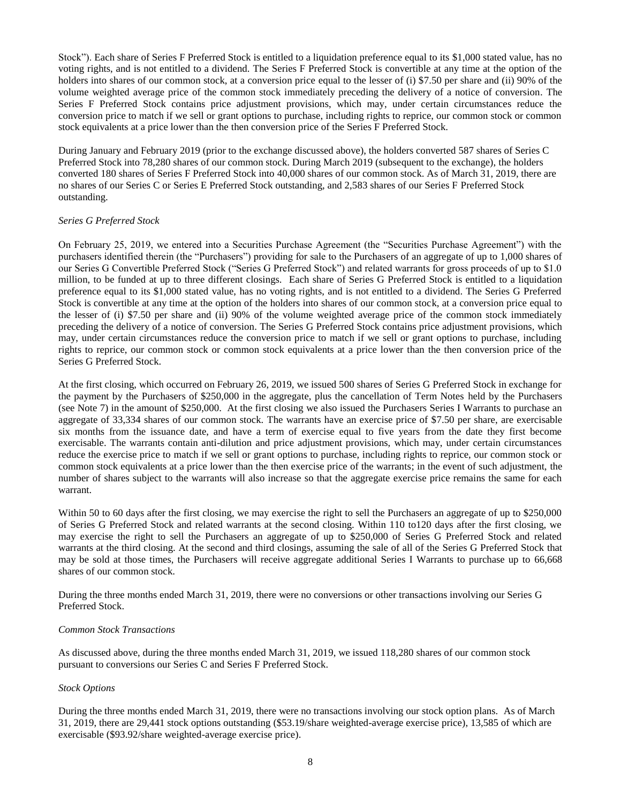Stock"). Each share of Series F Preferred Stock is entitled to a liquidation preference equal to its \$1,000 stated value, has no voting rights, and is not entitled to a dividend. The Series F Preferred Stock is convertible at any time at the option of the holders into shares of our common stock, at a conversion price equal to the lesser of (i) \$7.50 per share and (ii) 90% of the volume weighted average price of the common stock immediately preceding the delivery of a notice of conversion. The Series F Preferred Stock contains price adjustment provisions, which may, under certain circumstances reduce the conversion price to match if we sell or grant options to purchase, including rights to reprice, our common stock or common stock equivalents at a price lower than the then conversion price of the Series F Preferred Stock.

During January and February 2019 (prior to the exchange discussed above), the holders converted 587 shares of Series C Preferred Stock into 78,280 shares of our common stock. During March 2019 (subsequent to the exchange), the holders converted 180 shares of Series F Preferred Stock into 40,000 shares of our common stock. As of March 31, 2019, there are no shares of our Series C or Series E Preferred Stock outstanding, and 2,583 shares of our Series F Preferred Stock outstanding.

#### *Series G Preferred Stock*

On February 25, 2019, we entered into a Securities Purchase Agreement (the "Securities Purchase Agreement") with the purchasers identified therein (the "Purchasers") providing for sale to the Purchasers of an aggregate of up to 1,000 shares of our Series G Convertible Preferred Stock ("Series G Preferred Stock") and related warrants for gross proceeds of up to \$1.0 million, to be funded at up to three different closings. Each share of Series G Preferred Stock is entitled to a liquidation preference equal to its \$1,000 stated value, has no voting rights, and is not entitled to a dividend. The Series G Preferred Stock is convertible at any time at the option of the holders into shares of our common stock, at a conversion price equal to the lesser of (i) \$7.50 per share and (ii) 90% of the volume weighted average price of the common stock immediately preceding the delivery of a notice of conversion. The Series G Preferred Stock contains price adjustment provisions, which may, under certain circumstances reduce the conversion price to match if we sell or grant options to purchase, including rights to reprice, our common stock or common stock equivalents at a price lower than the then conversion price of the Series G Preferred Stock.

At the first closing, which occurred on February 26, 2019, we issued 500 shares of Series G Preferred Stock in exchange for the payment by the Purchasers of \$250,000 in the aggregate, plus the cancellation of Term Notes held by the Purchasers (see Note 7) in the amount of \$250,000. At the first closing we also issued the Purchasers Series I Warrants to purchase an aggregate of 33,334 shares of our common stock. The warrants have an exercise price of \$7.50 per share, are exercisable six months from the issuance date, and have a term of exercise equal to five years from the date they first become exercisable. The warrants contain anti-dilution and price adjustment provisions, which may, under certain circumstances reduce the exercise price to match if we sell or grant options to purchase, including rights to reprice, our common stock or common stock equivalents at a price lower than the then exercise price of the warrants; in the event of such adjustment, the number of shares subject to the warrants will also increase so that the aggregate exercise price remains the same for each warrant.

Within 50 to 60 days after the first closing, we may exercise the right to sell the Purchasers an aggregate of up to \$250,000 of Series G Preferred Stock and related warrants at the second closing. Within 110 to120 days after the first closing, we may exercise the right to sell the Purchasers an aggregate of up to \$250,000 of Series G Preferred Stock and related warrants at the third closing. At the second and third closings, assuming the sale of all of the Series G Preferred Stock that may be sold at those times, the Purchasers will receive aggregate additional Series I Warrants to purchase up to 66,668 shares of our common stock.

During the three months ended March 31, 2019, there were no conversions or other transactions involving our Series G Preferred Stock.

#### *Common Stock Transactions*

As discussed above, during the three months ended March 31, 2019, we issued 118,280 shares of our common stock pursuant to conversions our Series C and Series F Preferred Stock.

#### *Stock Options*

During the three months ended March 31, 2019, there were no transactions involving our stock option plans. As of March 31, 2019, there are 29,441 stock options outstanding (\$53.19/share weighted-average exercise price), 13,585 of which are exercisable (\$93.92/share weighted-average exercise price).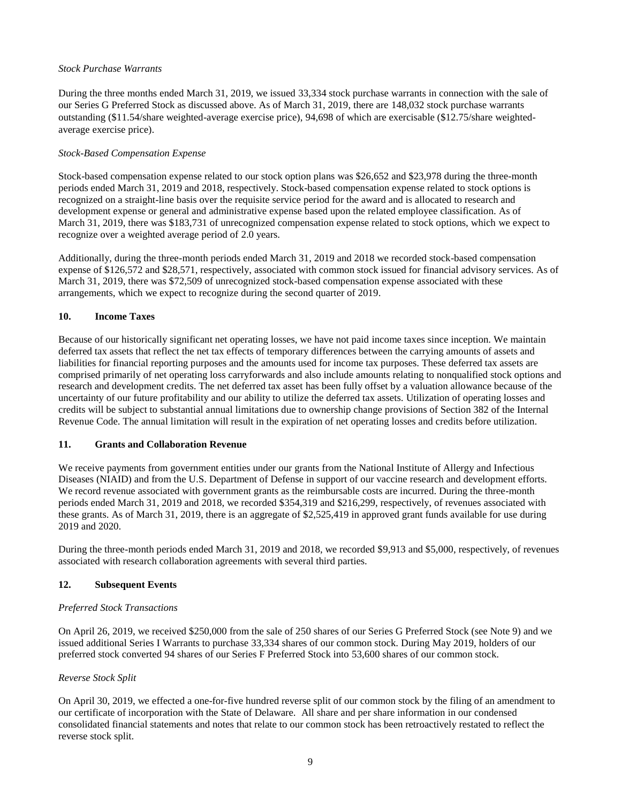## *Stock Purchase Warrants*

During the three months ended March 31, 2019, we issued 33,334 stock purchase warrants in connection with the sale of our Series G Preferred Stock as discussed above. As of March 31, 2019, there are 148,032 stock purchase warrants outstanding (\$11.54/share weighted-average exercise price), 94,698 of which are exercisable (\$12.75/share weightedaverage exercise price).

## *Stock-Based Compensation Expense*

Stock-based compensation expense related to our stock option plans was \$26,652 and \$23,978 during the three-month periods ended March 31, 2019 and 2018, respectively. Stock-based compensation expense related to stock options is recognized on a straight-line basis over the requisite service period for the award and is allocated to research and development expense or general and administrative expense based upon the related employee classification. As of March 31, 2019, there was \$183,731 of unrecognized compensation expense related to stock options, which we expect to recognize over a weighted average period of 2.0 years.

Additionally, during the three-month periods ended March 31, 2019 and 2018 we recorded stock-based compensation expense of \$126,572 and \$28,571, respectively, associated with common stock issued for financial advisory services. As of March 31, 2019, there was \$72,509 of unrecognized stock-based compensation expense associated with these arrangements, which we expect to recognize during the second quarter of 2019.

#### **10. Income Taxes**

Because of our historically significant net operating losses, we have not paid income taxes since inception. We maintain deferred tax assets that reflect the net tax effects of temporary differences between the carrying amounts of assets and liabilities for financial reporting purposes and the amounts used for income tax purposes. These deferred tax assets are comprised primarily of net operating loss carryforwards and also include amounts relating to nonqualified stock options and research and development credits. The net deferred tax asset has been fully offset by a valuation allowance because of the uncertainty of our future profitability and our ability to utilize the deferred tax assets. Utilization of operating losses and credits will be subject to substantial annual limitations due to ownership change provisions of Section 382 of the Internal Revenue Code. The annual limitation will result in the expiration of net operating losses and credits before utilization.

#### **11. Grants and Collaboration Revenue**

We receive payments from government entities under our grants from the National Institute of Allergy and Infectious Diseases (NIAID) and from the U.S. Department of Defense in support of our vaccine research and development efforts. We record revenue associated with government grants as the reimbursable costs are incurred. During the three-month periods ended March 31, 2019 and 2018, we recorded \$354,319 and \$216,299, respectively, of revenues associated with these grants. As of March 31, 2019, there is an aggregate of \$2,525,419 in approved grant funds available for use during 2019 and 2020.

During the three-month periods ended March 31, 2019 and 2018, we recorded \$9,913 and \$5,000, respectively, of revenues associated with research collaboration agreements with several third parties.

## **12. Subsequent Events**

#### *Preferred Stock Transactions*

On April 26, 2019, we received \$250,000 from the sale of 250 shares of our Series G Preferred Stock (see Note 9) and we issued additional Series I Warrants to purchase 33,334 shares of our common stock. During May 2019, holders of our preferred stock converted 94 shares of our Series F Preferred Stock into 53,600 shares of our common stock.

## *Reverse Stock Split*

On April 30, 2019, we effected a one-for-five hundred reverse split of our common stock by the filing of an amendment to our certificate of incorporation with the State of Delaware. All share and per share information in our condensed consolidated financial statements and notes that relate to our common stock has been retroactively restated to reflect the reverse stock split.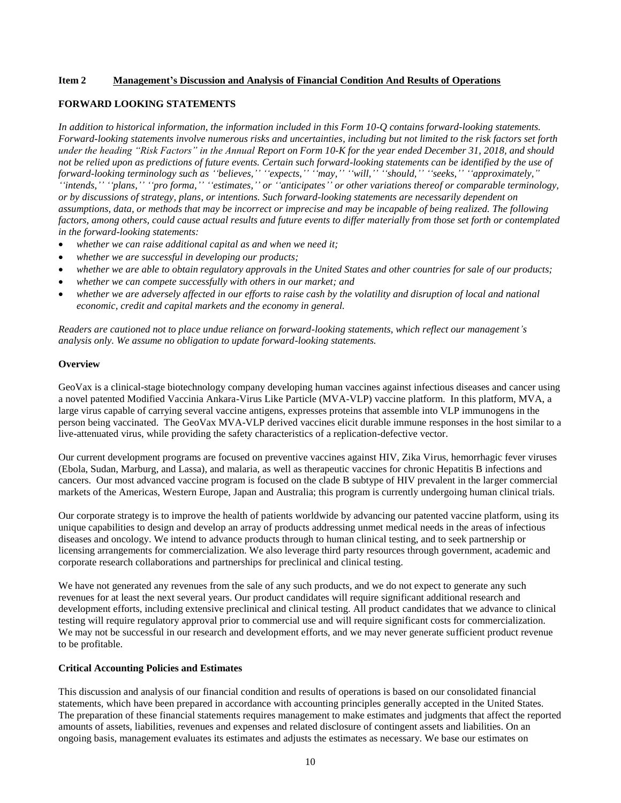#### **Item 2 Management's Discussion and Analysis of Financial Condition And Results of Operations**

#### **FORWARD LOOKING STATEMENTS**

*In addition to historical information, the information included in this Form 10-Q contains forward-looking statements. Forward-looking statements involve numerous risks and uncertainties, including but not limited to the risk factors set forth under the heading "Risk Factors" in the Annual Report on Form 10-K for the year ended December 31, 2018, and should not be relied upon as predictions of future events. Certain such forward-looking statements can be identified by the use of forward-looking terminology such as ''believes,'' ''expects,'' ''may,'' ''will,'' ''should,'' ''seeks,'' ''approximately,"*

*''intends,'' ''plans,'' ''pro forma,'' ''estimates,'' or ''anticipates'' or other variations thereof or comparable terminology, or by discussions of strategy, plans, or intentions. Such forward-looking statements are necessarily dependent on assumptions, data, or methods that may be incorrect or imprecise and may be incapable of being realized. The following factors, among others, could cause actual results and future events to differ materially from those set forth or contemplated in the forward-looking statements:* 

- *whether we can raise additional capital as and when we need it;*
- *whether we are successful in developing our products;*
- *whether we are able to obtain regulatory approvals in the United States and other countries for sale of our products;*
- *whether we can compete successfully with others in our market; and*
- *whether we are adversely affected in our efforts to raise cash by the volatility and disruption of local and national economic, credit and capital markets and the economy in general.*

*Readers are cautioned not to place undue reliance on forward-looking statements, which reflect our management's analysis only. We assume no obligation to update forward-looking statements.* 

#### **Overview**

GeoVax is a clinical-stage biotechnology company developing human vaccines against infectious diseases and cancer using a novel patented Modified Vaccinia Ankara-Virus Like Particle (MVA-VLP) vaccine platform. In this platform, MVA, a large virus capable of carrying several vaccine antigens, expresses proteins that assemble into VLP immunogens in the person being vaccinated. The GeoVax MVA-VLP derived vaccines elicit durable immune responses in the host similar to a live-attenuated virus, while providing the safety characteristics of a replication-defective vector.

Our current development programs are focused on preventive vaccines against HIV, Zika Virus, hemorrhagic fever viruses (Ebola, Sudan, Marburg, and Lassa), and malaria, as well as therapeutic vaccines for chronic Hepatitis B infections and cancers. Our most advanced vaccine program is focused on the clade B subtype of HIV prevalent in the larger commercial markets of the Americas, Western Europe, Japan and Australia; this program is currently undergoing human clinical trials.

Our corporate strategy is to improve the health of patients worldwide by advancing our patented vaccine platform, using its unique capabilities to design and develop an array of products addressing unmet medical needs in the areas of infectious diseases and oncology. We intend to advance products through to human clinical testing, and to seek partnership or licensing arrangements for commercialization. We also leverage third party resources through government, academic and corporate research collaborations and partnerships for preclinical and clinical testing.

We have not generated any revenues from the sale of any such products, and we do not expect to generate any such revenues for at least the next several years. Our product candidates will require significant additional research and development efforts, including extensive preclinical and clinical testing. All product candidates that we advance to clinical testing will require regulatory approval prior to commercial use and will require significant costs for commercialization. We may not be successful in our research and development efforts, and we may never generate sufficient product revenue to be profitable.

#### **Critical Accounting Policies and Estimates**

This discussion and analysis of our financial condition and results of operations is based on our consolidated financial statements, which have been prepared in accordance with accounting principles generally accepted in the United States. The preparation of these financial statements requires management to make estimates and judgments that affect the reported amounts of assets, liabilities, revenues and expenses and related disclosure of contingent assets and liabilities. On an ongoing basis, management evaluates its estimates and adjusts the estimates as necessary. We base our estimates on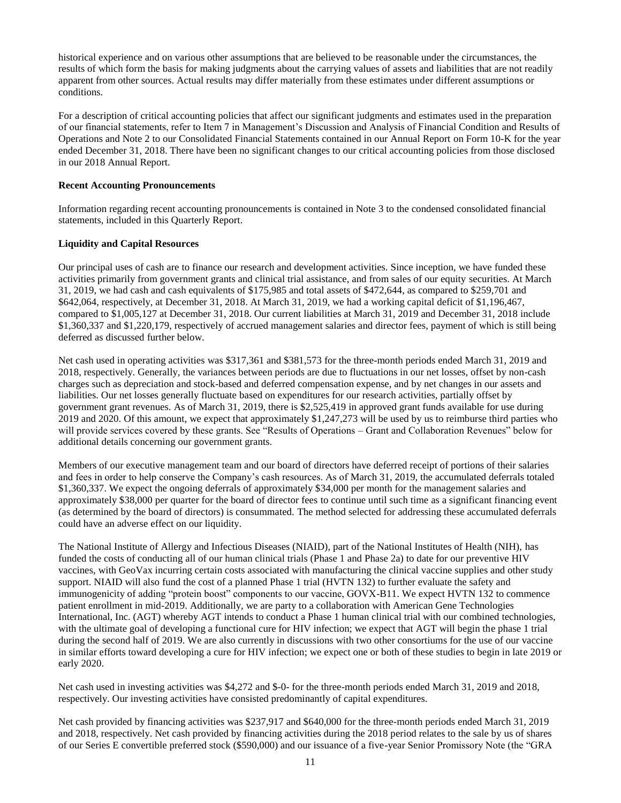historical experience and on various other assumptions that are believed to be reasonable under the circumstances, the results of which form the basis for making judgments about the carrying values of assets and liabilities that are not readily apparent from other sources. Actual results may differ materially from these estimates under different assumptions or conditions.

For a description of critical accounting policies that affect our significant judgments and estimates used in the preparation of our financial statements, refer to Item 7 in Management's Discussion and Analysis of Financial Condition and Results of Operations and Note 2 to our Consolidated Financial Statements contained in our Annual Report on Form 10-K for the year ended December 31, 2018. There have been no significant changes to our critical accounting policies from those disclosed in our 2018 Annual Report.

## **Recent Accounting Pronouncements**

Information regarding recent accounting pronouncements is contained in Note 3 to the condensed consolidated financial statements, included in this Quarterly Report.

#### **Liquidity and Capital Resources**

Our principal uses of cash are to finance our research and development activities. Since inception, we have funded these activities primarily from government grants and clinical trial assistance, and from sales of our equity securities. At March 31, 2019, we had cash and cash equivalents of \$175,985 and total assets of \$472,644, as compared to \$259,701 and \$642,064, respectively, at December 31, 2018. At March 31, 2019, we had a working capital deficit of \$1,196,467, compared to \$1,005,127 at December 31, 2018. Our current liabilities at March 31, 2019 and December 31, 2018 include \$1,360,337 and \$1,220,179, respectively of accrued management salaries and director fees, payment of which is still being deferred as discussed further below.

Net cash used in operating activities was \$317,361 and \$381,573 for the three-month periods ended March 31, 2019 and 2018, respectively. Generally, the variances between periods are due to fluctuations in our net losses, offset by non-cash charges such as depreciation and stock-based and deferred compensation expense, and by net changes in our assets and liabilities. Our net losses generally fluctuate based on expenditures for our research activities, partially offset by government grant revenues. As of March 31, 2019, there is \$2,525,419 in approved grant funds available for use during 2019 and 2020. Of this amount, we expect that approximately \$1,247,273 will be used by us to reimburse third parties who will provide services covered by these grants. See "Results of Operations – Grant and Collaboration Revenues" below for additional details concerning our government grants.

Members of our executive management team and our board of directors have deferred receipt of portions of their salaries and fees in order to help conserve the Company's cash resources. As of March 31, 2019, the accumulated deferrals totaled \$1,360,337. We expect the ongoing deferrals of approximately \$34,000 per month for the management salaries and approximately \$38,000 per quarter for the board of director fees to continue until such time as a significant financing event (as determined by the board of directors) is consummated. The method selected for addressing these accumulated deferrals could have an adverse effect on our liquidity.

The National Institute of Allergy and Infectious Diseases (NIAID), part of the National Institutes of Health (NIH), has funded the costs of conducting all of our human clinical trials (Phase 1 and Phase 2a) to date for our preventive HIV vaccines, with GeoVax incurring certain costs associated with manufacturing the clinical vaccine supplies and other study support. NIAID will also fund the cost of a planned Phase 1 trial (HVTN 132) to further evaluate the safety and immunogenicity of adding "protein boost" components to our vaccine, GOVX-B11. We expect HVTN 132 to commence patient enrollment in mid-2019. Additionally, we are party to a collaboration with American Gene Technologies International, Inc. (AGT) whereby AGT intends to conduct a Phase 1 human clinical trial with our combined technologies, with the ultimate goal of developing a functional cure for HIV infection; we expect that AGT will begin the phase 1 trial during the second half of 2019. We are also currently in discussions with two other consortiums for the use of our vaccine in similar efforts toward developing a cure for HIV infection; we expect one or both of these studies to begin in late 2019 or early 2020.

Net cash used in investing activities was \$4,272 and \$-0- for the three-month periods ended March 31, 2019 and 2018, respectively. Our investing activities have consisted predominantly of capital expenditures.

Net cash provided by financing activities was \$237,917 and \$640,000 for the three-month periods ended March 31, 2019 and 2018, respectively. Net cash provided by financing activities during the 2018 period relates to the sale by us of shares of our Series E convertible preferred stock (\$590,000) and our issuance of a five-year Senior Promissory Note (the "GRA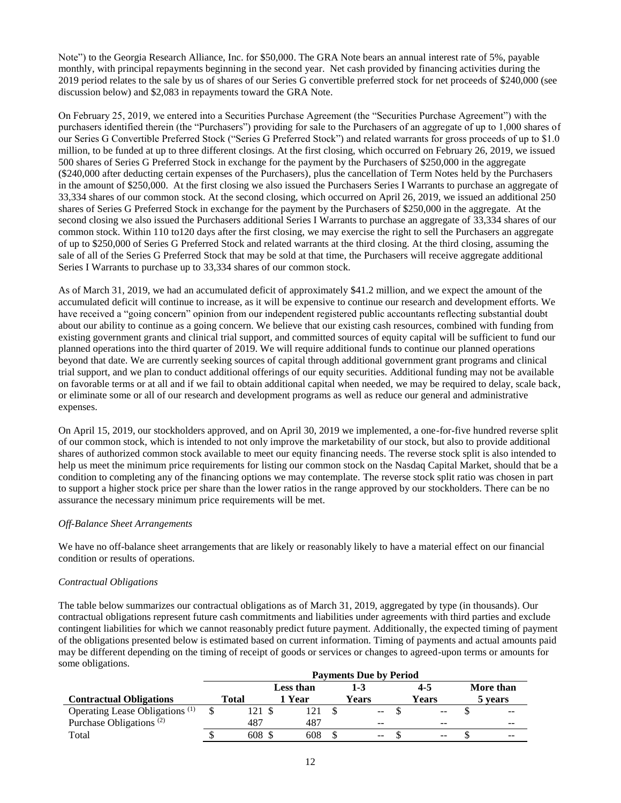Note") to the Georgia Research Alliance, Inc. for \$50,000. The GRA Note bears an annual interest rate of 5%, payable monthly, with principal repayments beginning in the second year. Net cash provided by financing activities during the 2019 period relates to the sale by us of shares of our Series G convertible preferred stock for net proceeds of \$240,000 (see discussion below) and \$2,083 in repayments toward the GRA Note.

On February 25, 2019, we entered into a Securities Purchase Agreement (the "Securities Purchase Agreement") with the purchasers identified therein (the "Purchasers") providing for sale to the Purchasers of an aggregate of up to 1,000 shares of our Series G Convertible Preferred Stock ("Series G Preferred Stock") and related warrants for gross proceeds of up to \$1.0 million, to be funded at up to three different closings. At the first closing, which occurred on February 26, 2019, we issued 500 shares of Series G Preferred Stock in exchange for the payment by the Purchasers of \$250,000 in the aggregate (\$240,000 after deducting certain expenses of the Purchasers), plus the cancellation of Term Notes held by the Purchasers in the amount of \$250,000. At the first closing we also issued the Purchasers Series I Warrants to purchase an aggregate of 33,334 shares of our common stock. At the second closing, which occurred on April 26, 2019, we issued an additional 250 shares of Series G Preferred Stock in exchange for the payment by the Purchasers of \$250,000 in the aggregate. At the second closing we also issued the Purchasers additional Series I Warrants to purchase an aggregate of 33,334 shares of our common stock. Within 110 to120 days after the first closing, we may exercise the right to sell the Purchasers an aggregate of up to \$250,000 of Series G Preferred Stock and related warrants at the third closing. At the third closing, assuming the sale of all of the Series G Preferred Stock that may be sold at that time, the Purchasers will receive aggregate additional Series I Warrants to purchase up to 33,334 shares of our common stock.

As of March 31, 2019, we had an accumulated deficit of approximately \$41.2 million, and we expect the amount of the accumulated deficit will continue to increase, as it will be expensive to continue our research and development efforts. We have received a "going concern" opinion from our independent registered public accountants reflecting substantial doubt about our ability to continue as a going concern. We believe that our existing cash resources, combined with funding from existing government grants and clinical trial support, and committed sources of equity capital will be sufficient to fund our planned operations into the third quarter of 2019. We will require additional funds to continue our planned operations beyond that date. We are currently seeking sources of capital through additional government grant programs and clinical trial support, and we plan to conduct additional offerings of our equity securities. Additional funding may not be available on favorable terms or at all and if we fail to obtain additional capital when needed, we may be required to delay, scale back, or eliminate some or all of our research and development programs as well as reduce our general and administrative expenses.

On April 15, 2019, our stockholders approved, and on April 30, 2019 we implemented, a one-for-five hundred reverse split of our common stock, which is intended to not only improve the marketability of our stock, but also to provide additional shares of authorized common stock available to meet our equity financing needs. The reverse stock split is also intended to help us meet the minimum price requirements for listing our common stock on the Nasdaq Capital Market, should that be a condition to completing any of the financing options we may contemplate. The reverse stock split ratio was chosen in part to support a higher stock price per share than the lower ratios in the range approved by our stockholders. There can be no assurance the necessary minimum price requirements will be met.

## *Off-Balance Sheet Arrangements*

We have no off-balance sheet arrangements that are likely or reasonably likely to have a material effect on our financial condition or results of operations.

#### *Contractual Obligations*

The table below summarizes our contractual obligations as of March 31, 2019, aggregated by type (in thousands). Our contractual obligations represent future cash commitments and liabilities under agreements with third parties and exclude contingent liabilities for which we cannot reasonably predict future payment. Additionally, the expected timing of payment of the obligations presented below is estimated based on current information. Timing of payments and actual amounts paid may be different depending on the timing of receipt of goods or services or changes to agreed-upon terms or amounts for some obligations.

|                                            | <b>Payments Due by Period</b> |  |           |  |                          |  |       |  |           |
|--------------------------------------------|-------------------------------|--|-----------|--|--------------------------|--|-------|--|-----------|
|                                            |                               |  | Less than |  | 1-3                      |  | 4-5   |  | More than |
| <b>Contractual Obligations</b>             | <b>Total</b>                  |  | 1 Year    |  | Years                    |  | Years |  | 5 years   |
| Operating Lease Obligations <sup>(1)</sup> | 21                            |  |           |  | $\overline{\phantom{m}}$ |  | $- -$ |  | $- -$     |
| Purchase Obligations <sup>(2)</sup>        | 487                           |  | 487       |  | $-$                      |  | $- -$ |  | $- -$     |
| Total                                      | 608                           |  | 608       |  | $-$                      |  | $- -$ |  | $- -$     |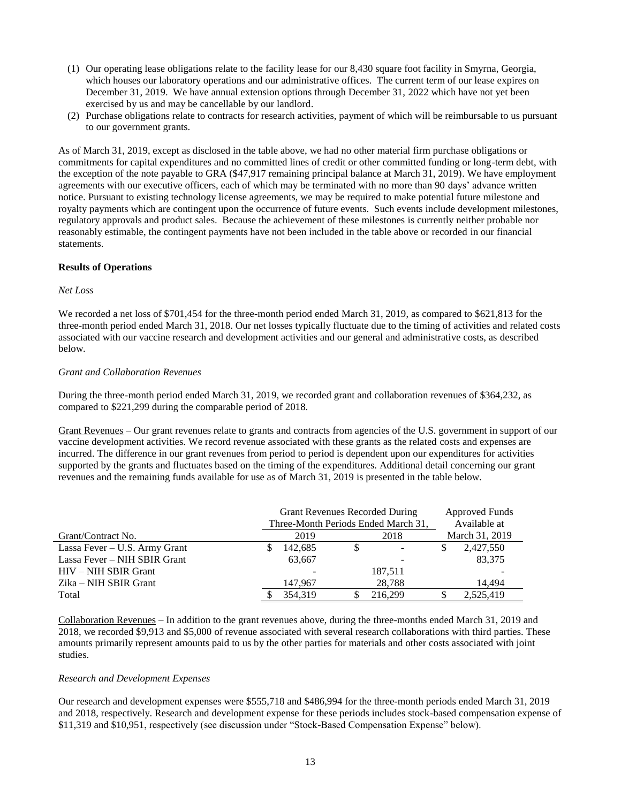- (1) Our operating lease obligations relate to the facility lease for our 8,430 square foot facility in Smyrna, Georgia, which houses our laboratory operations and our administrative offices. The current term of our lease expires on December 31, 2019. We have annual extension options through December 31, 2022 which have not yet been exercised by us and may be cancellable by our landlord.
- (2) Purchase obligations relate to contracts for research activities, payment of which will be reimbursable to us pursuant to our government grants.

As of March 31, 2019, except as disclosed in the table above, we had no other material firm purchase obligations or commitments for capital expenditures and no committed lines of credit or other committed funding or long-term debt, with the exception of the note payable to GRA (\$47,917 remaining principal balance at March 31, 2019). We have employment agreements with our executive officers, each of which may be terminated with no more than 90 days' advance written notice. Pursuant to existing technology license agreements, we may be required to make potential future milestone and royalty payments which are contingent upon the occurrence of future events. Such events include development milestones, regulatory approvals and product sales. Because the achievement of these milestones is currently neither probable nor reasonably estimable, the contingent payments have not been included in the table above or recorded in our financial statements.

#### **Results of Operations**

## *Net Loss*

We recorded a net loss of \$701,454 for the three-month period ended March 31, 2019, as compared to \$621,813 for the three-month period ended March 31, 2018. Our net losses typically fluctuate due to the timing of activities and related costs associated with our vaccine research and development activities and our general and administrative costs, as described below.

#### *Grant and Collaboration Revenues*

During the three-month period ended March 31, 2019, we recorded grant and collaboration revenues of \$364,232, as compared to \$221,299 during the comparable period of 2018.

Grant Revenues – Our grant revenues relate to grants and contracts from agencies of the U.S. government in support of our vaccine development activities. We record revenue associated with these grants as the related costs and expenses are incurred. The difference in our grant revenues from period to period is dependent upon our expenditures for activities supported by the grants and fluctuates based on the timing of the expenditures. Additional detail concerning our grant revenues and the remaining funds available for use as of March 31, 2019 is presented in the table below.

|                               | Grant Revenues Recorded During |         |                | Approved Funds                      |              |           |  |
|-------------------------------|--------------------------------|---------|----------------|-------------------------------------|--------------|-----------|--|
|                               |                                |         |                | Three-Month Periods Ended March 31, | Available at |           |  |
| Grant/Contract No.            | 2018<br>2019                   |         | March 31, 2019 |                                     |              |           |  |
| Lassa Fever – U.S. Army Grant |                                | 142.685 | S              |                                     | S            | 2,427,550 |  |
| Lassa Fever - NIH SBIR Grant  |                                | 63,667  |                |                                     |              | 83,375    |  |
| HIV – NIH SBIR Grant          |                                |         |                | 187.511                             |              |           |  |
| Zika – NIH SBIR Grant         |                                | 147.967 |                | 28.788                              |              | 14.494    |  |
| Total                         |                                | 354,319 |                | 216,299                             |              | 2,525,419 |  |

Collaboration Revenues – In addition to the grant revenues above, during the three-months ended March 31, 2019 and 2018, we recorded \$9,913 and \$5,000 of revenue associated with several research collaborations with third parties. These amounts primarily represent amounts paid to us by the other parties for materials and other costs associated with joint studies.

## *Research and Development Expenses*

Our research and development expenses were \$555,718 and \$486,994 for the three-month periods ended March 31, 2019 and 2018, respectively. Research and development expense for these periods includes stock-based compensation expense of \$11,319 and \$10,951, respectively (see discussion under "Stock-Based Compensation Expense" below).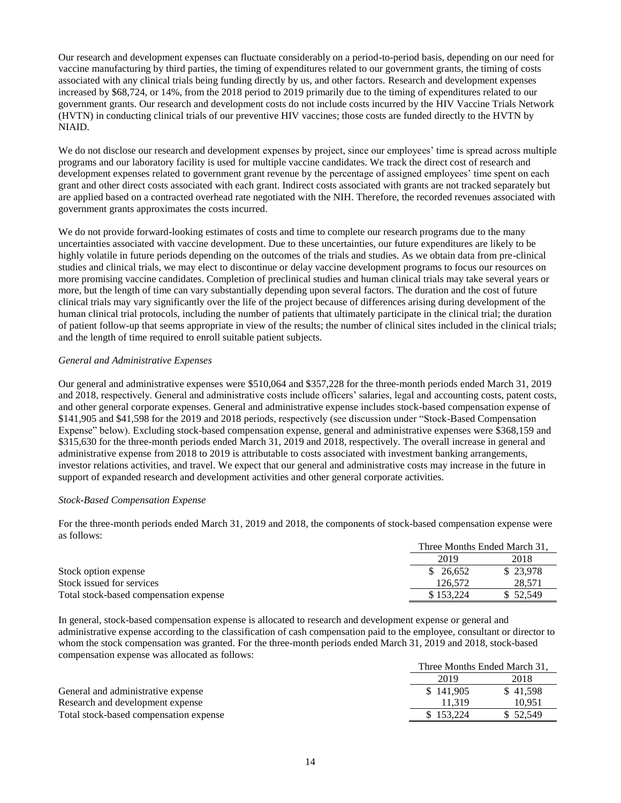Our research and development expenses can fluctuate considerably on a period-to-period basis, depending on our need for vaccine manufacturing by third parties, the timing of expenditures related to our government grants, the timing of costs associated with any clinical trials being funding directly by us, and other factors. Research and development expenses increased by \$68,724, or 14%, from the 2018 period to 2019 primarily due to the timing of expenditures related to our government grants. Our research and development costs do not include costs incurred by the HIV Vaccine Trials Network (HVTN) in conducting clinical trials of our preventive HIV vaccines; those costs are funded directly to the HVTN by NIAID.

We do not disclose our research and development expenses by project, since our employees' time is spread across multiple programs and our laboratory facility is used for multiple vaccine candidates. We track the direct cost of research and development expenses related to government grant revenue by the percentage of assigned employees' time spent on each grant and other direct costs associated with each grant. Indirect costs associated with grants are not tracked separately but are applied based on a contracted overhead rate negotiated with the NIH. Therefore, the recorded revenues associated with government grants approximates the costs incurred.

We do not provide forward-looking estimates of costs and time to complete our research programs due to the many uncertainties associated with vaccine development. Due to these uncertainties, our future expenditures are likely to be highly volatile in future periods depending on the outcomes of the trials and studies. As we obtain data from pre-clinical studies and clinical trials, we may elect to discontinue or delay vaccine development programs to focus our resources on more promising vaccine candidates. Completion of preclinical studies and human clinical trials may take several years or more, but the length of time can vary substantially depending upon several factors. The duration and the cost of future clinical trials may vary significantly over the life of the project because of differences arising during development of the human clinical trial protocols, including the number of patients that ultimately participate in the clinical trial; the duration of patient follow-up that seems appropriate in view of the results; the number of clinical sites included in the clinical trials; and the length of time required to enroll suitable patient subjects.

## *General and Administrative Expenses*

Our general and administrative expenses were \$510,064 and \$357,228 for the three-month periods ended March 31, 2019 and 2018, respectively. General and administrative costs include officers' salaries, legal and accounting costs, patent costs, and other general corporate expenses. General and administrative expense includes stock-based compensation expense of \$141,905 and \$41,598 for the 2019 and 2018 periods, respectively (see discussion under "Stock-Based Compensation Expense" below). Excluding stock-based compensation expense, general and administrative expenses were \$368,159 and \$315,630 for the three-month periods ended March 31, 2019 and 2018, respectively. The overall increase in general and administrative expense from 2018 to 2019 is attributable to costs associated with investment banking arrangements, investor relations activities, and travel. We expect that our general and administrative costs may increase in the future in support of expanded research and development activities and other general corporate activities.

#### *Stock-Based Compensation Expense*

For the three-month periods ended March 31, 2019 and 2018, the components of stock-based compensation expense were as follows:

|                                        | Three Months Ended March 31. |          |
|----------------------------------------|------------------------------|----------|
|                                        | 2019                         | 2018     |
| Stock option expense                   | \$ 26.652                    | \$23,978 |
| Stock issued for services              | 126.572                      | 28.571   |
| Total stock-based compensation expense | \$153.224                    | \$52.549 |

In general, stock-based compensation expense is allocated to research and development expense or general and administrative expense according to the classification of cash compensation paid to the employee, consultant or director to whom the stock compensation was granted. For the three-month periods ended March 31, 2019 and 2018, stock-based compensation expense was allocated as follows: Months Ended Monah 21

|                                        | Three Months Ended March 51. |          |  |
|----------------------------------------|------------------------------|----------|--|
|                                        | 2019                         | 2018     |  |
| General and administrative expense     | \$141.905                    | \$41.598 |  |
| Research and development expense       | 11.319                       | 10.951   |  |
| Total stock-based compensation expense | \$153,224                    | \$52,549 |  |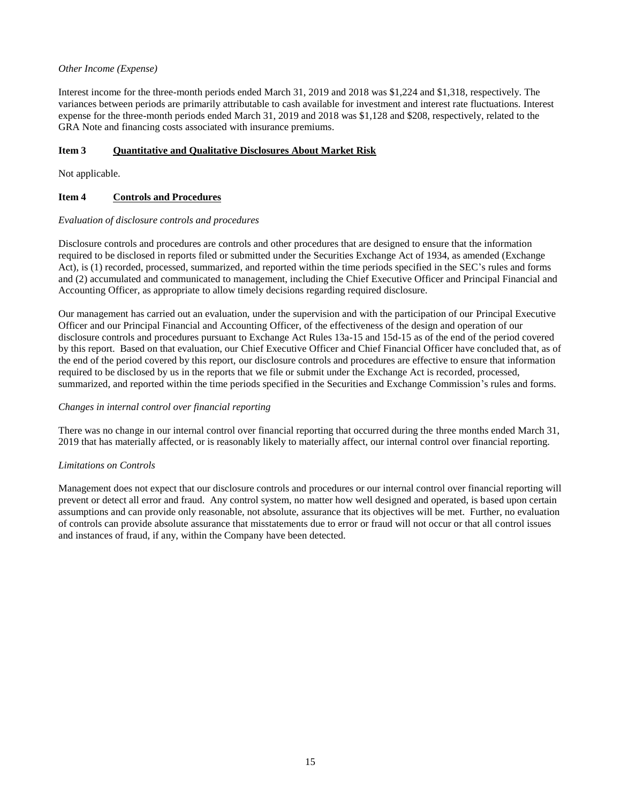## *Other Income (Expense)*

Interest income for the three-month periods ended March 31, 2019 and 2018 was \$1,224 and \$1,318, respectively. The variances between periods are primarily attributable to cash available for investment and interest rate fluctuations. Interest expense for the three-month periods ended March 31, 2019 and 2018 was \$1,128 and \$208, respectively, related to the GRA Note and financing costs associated with insurance premiums.

## **Item 3 Quantitative and Qualitative Disclosures About Market Risk**

Not applicable.

#### **Item 4 Controls and Procedures**

#### *Evaluation of disclosure controls and procedures*

Disclosure controls and procedures are controls and other procedures that are designed to ensure that the information required to be disclosed in reports filed or submitted under the Securities Exchange Act of 1934, as amended (Exchange Act), is (1) recorded, processed, summarized, and reported within the time periods specified in the SEC's rules and forms and (2) accumulated and communicated to management, including the Chief Executive Officer and Principal Financial and Accounting Officer, as appropriate to allow timely decisions regarding required disclosure.

Our management has carried out an evaluation, under the supervision and with the participation of our Principal Executive Officer and our Principal Financial and Accounting Officer, of the effectiveness of the design and operation of our disclosure controls and procedures pursuant to Exchange Act Rules 13a-15 and 15d-15 as of the end of the period covered by this report. Based on that evaluation, our Chief Executive Officer and Chief Financial Officer have concluded that, as of the end of the period covered by this report, our disclosure controls and procedures are effective to ensure that information required to be disclosed by us in the reports that we file or submit under the Exchange Act is recorded, processed, summarized, and reported within the time periods specified in the Securities and Exchange Commission's rules and forms.

#### *Changes in internal control over financial reporting*

There was no change in our internal control over financial reporting that occurred during the three months ended March 31, 2019 that has materially affected, or is reasonably likely to materially affect, our internal control over financial reporting.

#### *Limitations on Controls*

Management does not expect that our disclosure controls and procedures or our internal control over financial reporting will prevent or detect all error and fraud. Any control system, no matter how well designed and operated, is based upon certain assumptions and can provide only reasonable, not absolute, assurance that its objectives will be met. Further, no evaluation of controls can provide absolute assurance that misstatements due to error or fraud will not occur or that all control issues and instances of fraud, if any, within the Company have been detected.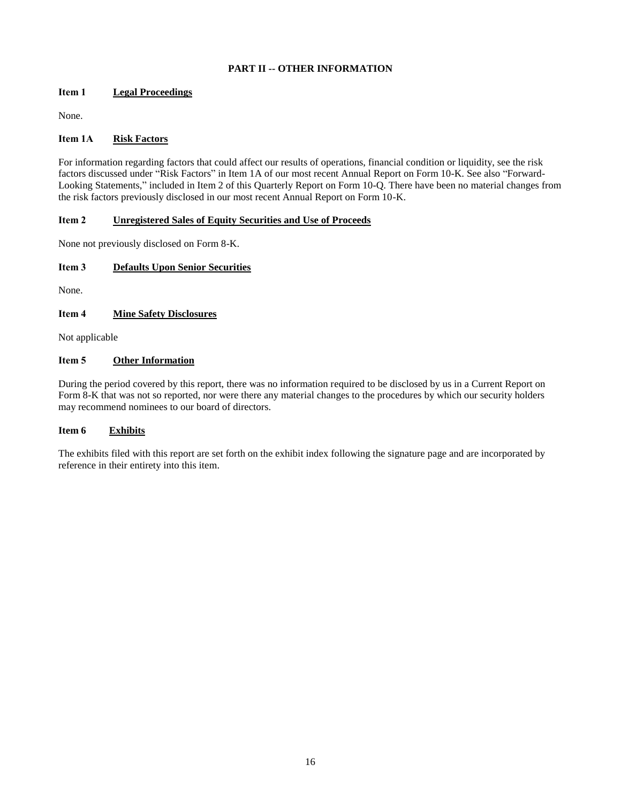## **PART II -- OTHER INFORMATION**

## **Item 1 Legal Proceedings**

None.

## **Item 1A Risk Factors**

For information regarding factors that could affect our results of operations, financial condition or liquidity, see the risk factors discussed under "Risk Factors" in Item 1A of our most recent Annual Report on Form 10-K. See also "Forward-Looking Statements," included in Item 2 of this Quarterly Report on Form 10-Q. There have been no material changes from the risk factors previously disclosed in our most recent Annual Report on Form 10-K.

## **Item 2 Unregistered Sales of Equity Securities and Use of Proceeds**

None not previously disclosed on Form 8-K.

## **Item 3 Defaults Upon Senior Securities**

None.

## **Item 4 Mine Safety Disclosures**

Not applicable

## **Item 5 Other Information**

During the period covered by this report, there was no information required to be disclosed by us in a Current Report on Form 8-K that was not so reported, nor were there any material changes to the procedures by which our security holders may recommend nominees to our board of directors.

## **Item 6 Exhibits**

The exhibits filed with this report are set forth on the exhibit index following the signature page and are incorporated by reference in their entirety into this item.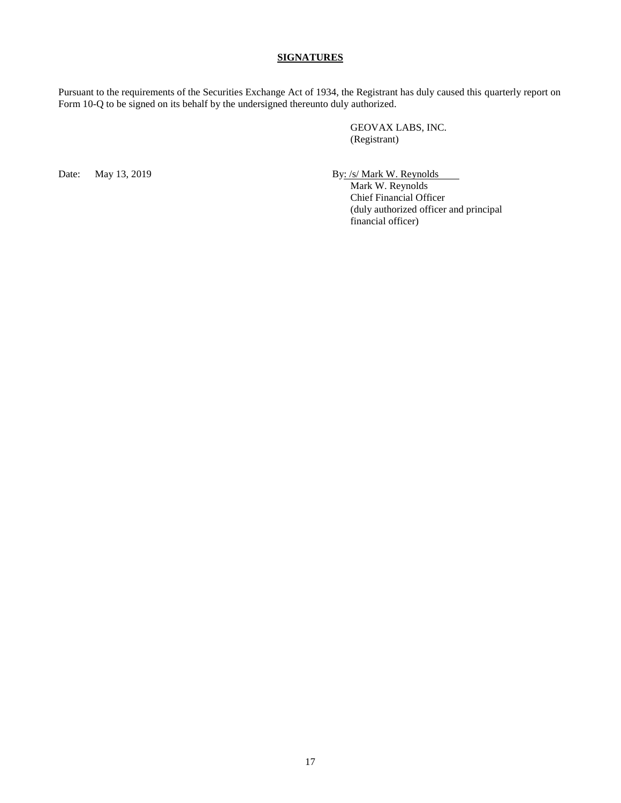## **SIGNATURES**

Pursuant to the requirements of the Securities Exchange Act of 1934, the Registrant has duly caused this quarterly report on Form 10-Q to be signed on its behalf by the undersigned thereunto duly authorized.

> GEOVAX LABS, INC. (Registrant)

Date: May 13, 2019 By: /s/ Mark W. Reynolds

Mark W. Reynolds Chief Financial Officer (duly authorized officer and principal financial officer)